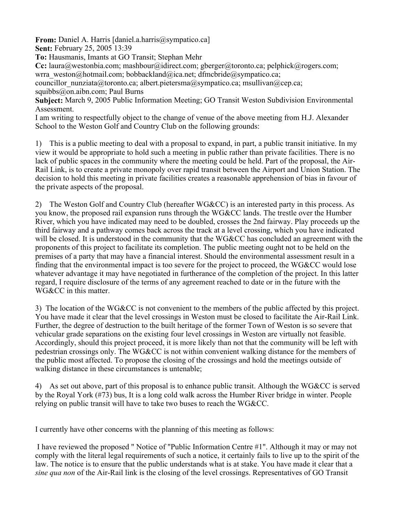**From:** Daniel A. Harris [daniel.a.harris@sympatico.ca]

**Sent:** February 25, 2005 13:39

**To:** Hausmanis, Imants at GO Transit; Stephan Mehr

**Cc:** laura@westonbia.com; mashbour@idirect.com; gberger@toronto.ca; pelphick@rogers.com; wrra\_weston@hotmail.com; bobbackland@ica.net; dfmcbride@sympatico.ca;

councillor nunziata@toronto.ca; albert.pietersma@sympatico.ca; msullivan@cep.ca;

squibbs@on.aibn.com; Paul Burns

**Subject:** March 9, 2005 Public Information Meeting; GO Transit Weston Subdivision Environmental **Assessment** 

I am writing to respectfully object to the change of venue of the above meeting from H.J. Alexander School to the Weston Golf and Country Club on the following grounds:

1) This is a public meeting to deal with a proposal to expand, in part, a public transit initiative. In my view it would be appropriate to hold such a meeting in public rather than private facilities. There is no lack of public spaces in the community where the meeting could be held. Part of the proposal, the Air-Rail Link, is to create a private monopoly over rapid transit between the Airport and Union Station. The decision to hold this meeting in private facilities creates a reasonable apprehension of bias in favour of the private aspects of the proposal.

2) The Weston Golf and Country Club (hereafter WG&CC) is an interested party in this process. As you know, the proposed rail expansion runs through the WG&CC lands. The trestle over the Humber River, which you have indicated may need to be doubled, crosses the 2nd fairway. Play proceeds up the third fairway and a pathway comes back across the track at a level crossing, which you have indicated will be closed. It is understood in the community that the WG&CC has concluded an agreement with the proponents of this project to facilitate its completion. The public meeting ought not to be held on the premises of a party that may have a financial interest. Should the environmental assessment result in a finding that the environmental impact is too severe for the project to proceed, the WG&CC would lose whatever advantage it may have negotiated in furtherance of the completion of the project. In this latter regard, I require disclosure of the terms of any agreement reached to date or in the future with the WG&CC in this matter.

3) The location of the WG&CC is not convenient to the members of the public affected by this project. You have made it clear that the level crossings in Weston must be closed to facilitate the Air-Rail Link. Further, the degree of destruction to the built heritage of the former Town of Weston is so severe that vehicular grade separations on the existing four level crossings in Weston are virtually not feasible. Accordingly, should this project proceed, it is more likely than not that the community will be left with pedestrian crossings only. The WG&CC is not within convenient walking distance for the members of the public most affected. To propose the closing of the crossings and hold the meetings outside of walking distance in these circumstances is untenable;

4) As set out above, part of this proposal is to enhance public transit. Although the WG&CC is served by the Royal York (#73) bus, It is a long cold walk across the Humber River bridge in winter. People relying on public transit will have to take two buses to reach the WG&CC.

I currently have other concerns with the planning of this meeting as follows:

 I have reviewed the proposed " Notice of "Public Information Centre #1". Although it may or may not comply with the literal legal requirements of such a notice, it certainly fails to live up to the spirit of the law. The notice is to ensure that the public understands what is at stake. You have made it clear that a *sine qua non* of the Air-Rail link is the closing of the level crossings. Representatives of GO Transit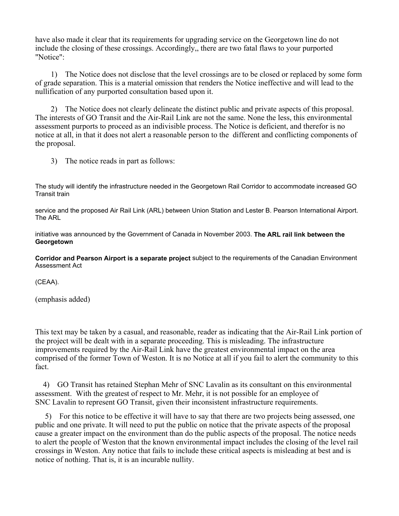have also made it clear that its requirements for upgrading service on the Georgetown line do not include the closing of these crossings. Accordingly,, there are two fatal flaws to your purported "Notice":

 1) The Notice does not disclose that the level crossings are to be closed or replaced by some form of grade separation. This is a material omission that renders the Notice ineffective and will lead to the nullification of any purported consultation based upon it.

 2) The Notice does not clearly delineate the distinct public and private aspects of this proposal. The interests of GO Transit and the Air-Rail Link are not the same. None the less, this environmental assessment purports to proceed as an indivisible process. The Notice is deficient, and therefor is no notice at all, in that it does not alert a reasonable person to the different and conflicting components of the proposal.

3) The notice reads in part as follows:

The study will identify the infrastructure needed in the Georgetown Rail Corridor to accommodate increased GO Transit train

service and the proposed Air Rail Link (ARL) between Union Station and Lester B. Pearson International Airport. The ARL

initiative was announced by the Government of Canada in November 2003. **The ARL rail link between the Georgetown**

**Corridor and Pearson Airport is a separate project** subject to the requirements of the Canadian Environment Assessment Act

(CEAA).

(emphasis added)

This text may be taken by a casual, and reasonable, reader as indicating that the Air-Rail Link portion of the project will be dealt with in a separate proceeding. This is misleading. The infrastructure improvements required by the Air-Rail Link have the greatest environmental impact on the area comprised of the former Town of Weston. It is no Notice at all if you fail to alert the community to this fact.

 4) GO Transit has retained Stephan Mehr of SNC Lavalin as its consultant on this environmental assessment. With the greatest of respect to Mr. Mehr, it is not possible for an employee of SNC Lavalin to represent GO Transit, given their inconsistent infrastructure requirements.

 5) For this notice to be effective it will have to say that there are two projects being assessed, one public and one private. It will need to put the public on notice that the private aspects of the proposal cause a greater impact on the environment than do the public aspects of the proposal. The notice needs to alert the people of Weston that the known environmental impact includes the closing of the level rail crossings in Weston. Any notice that fails to include these critical aspects is misleading at best and is notice of nothing. That is, it is an incurable nullity.